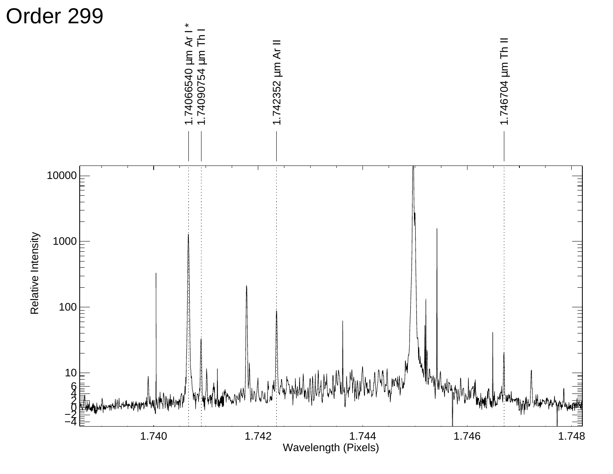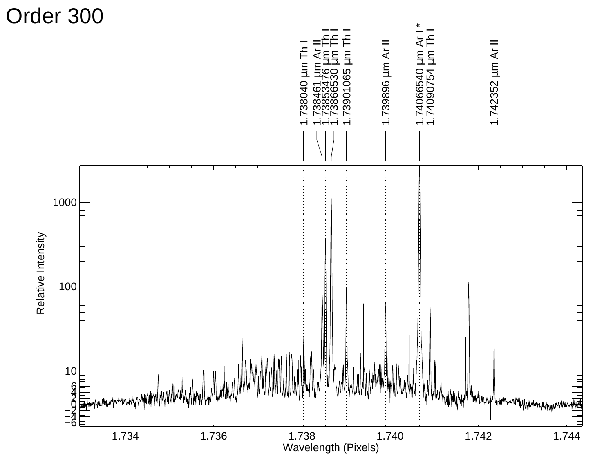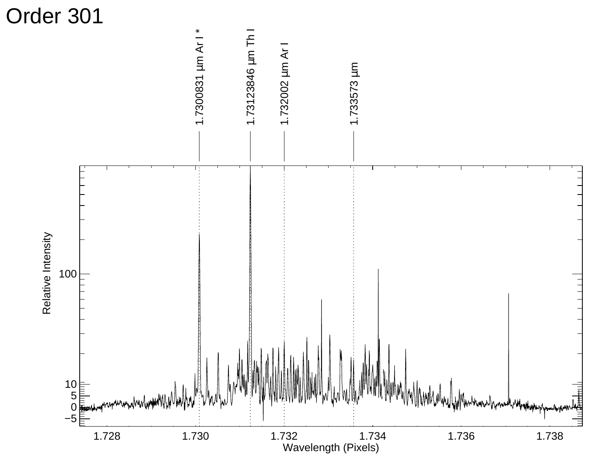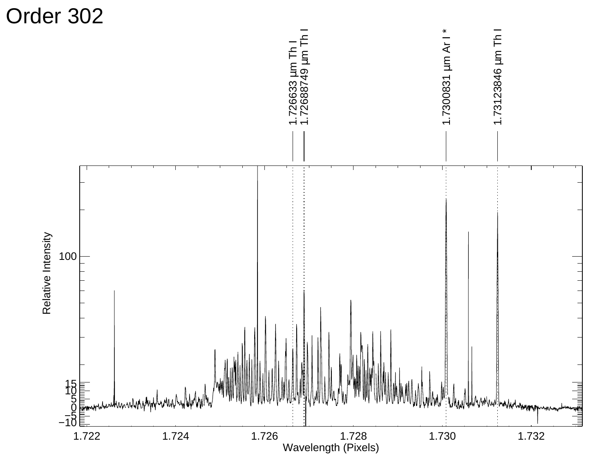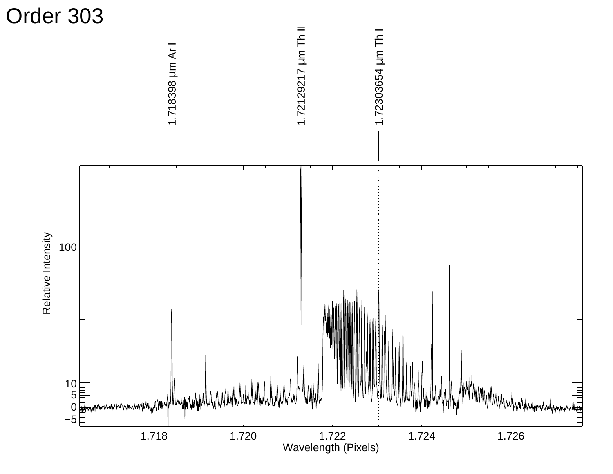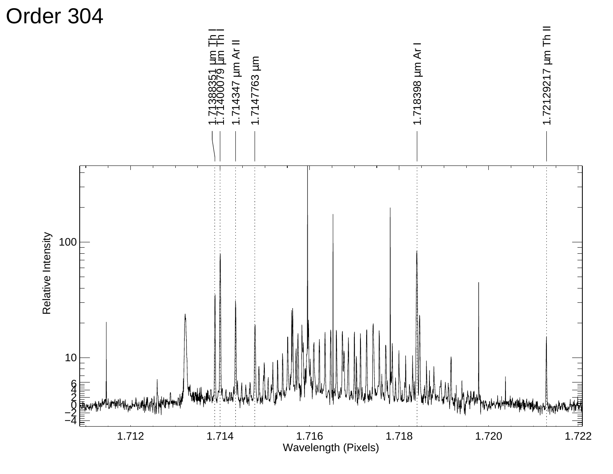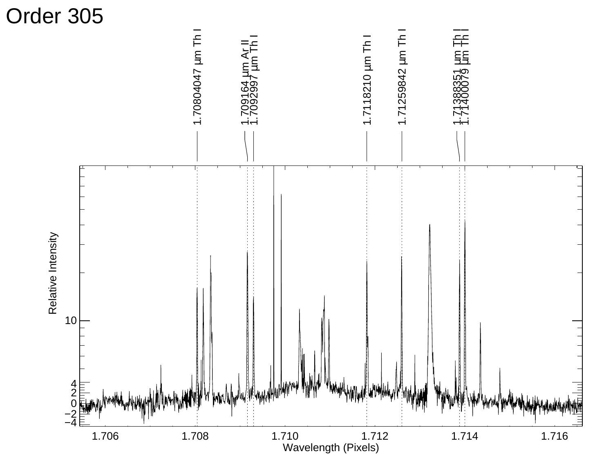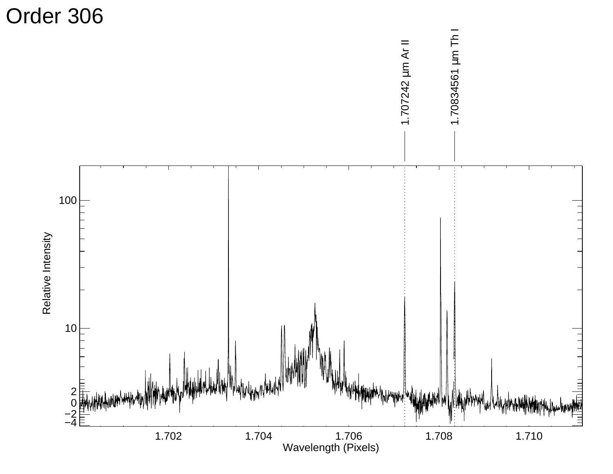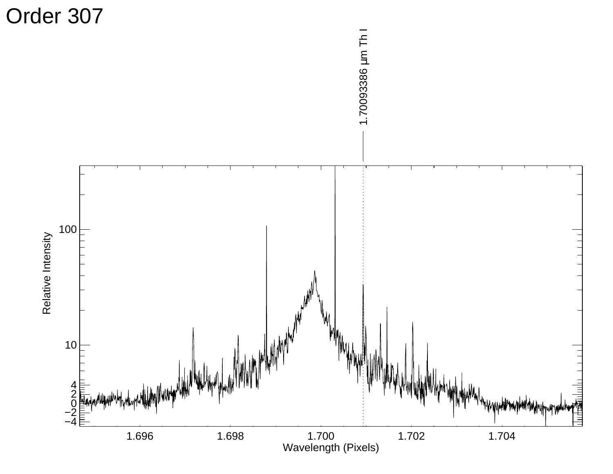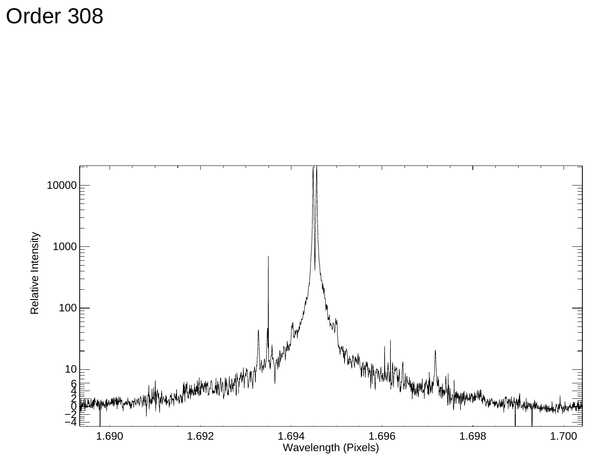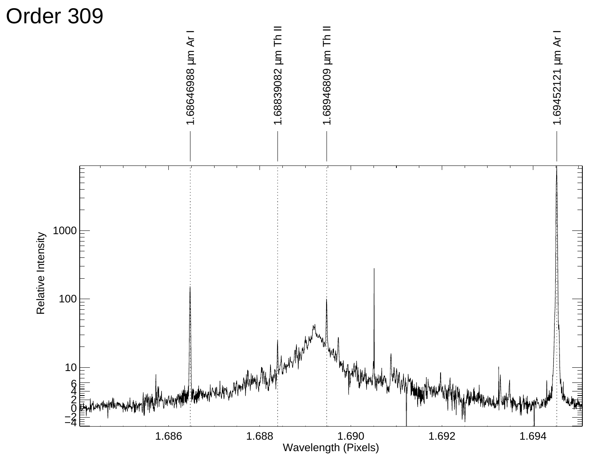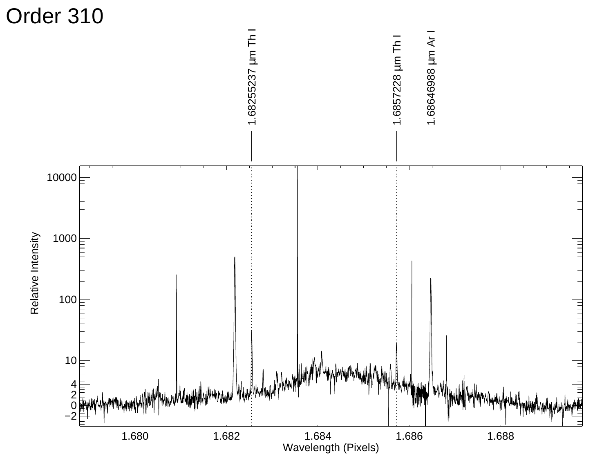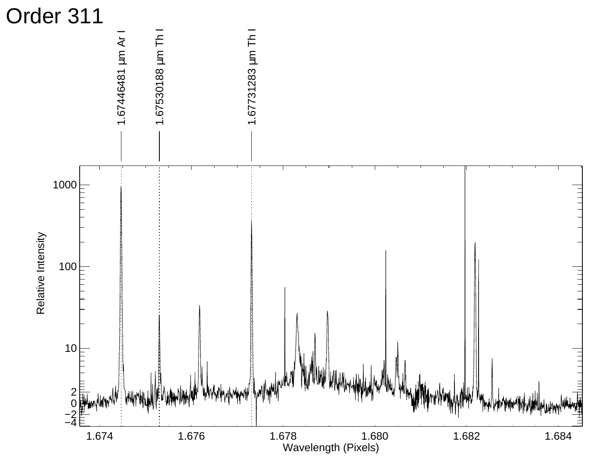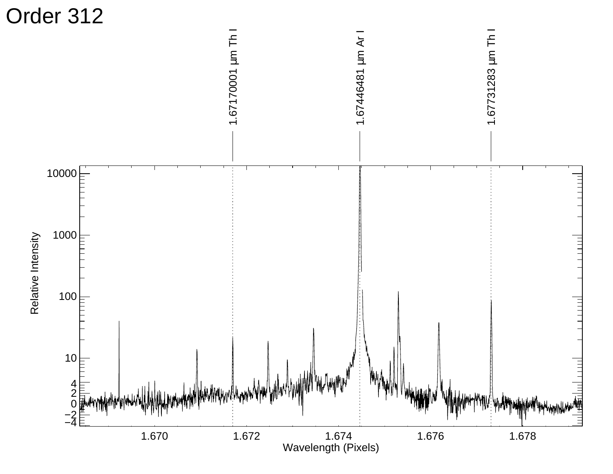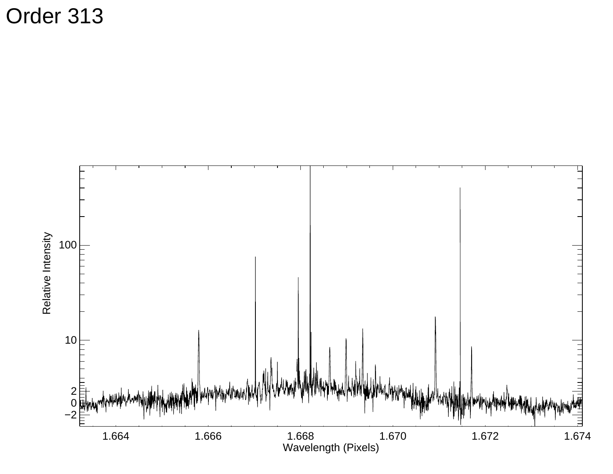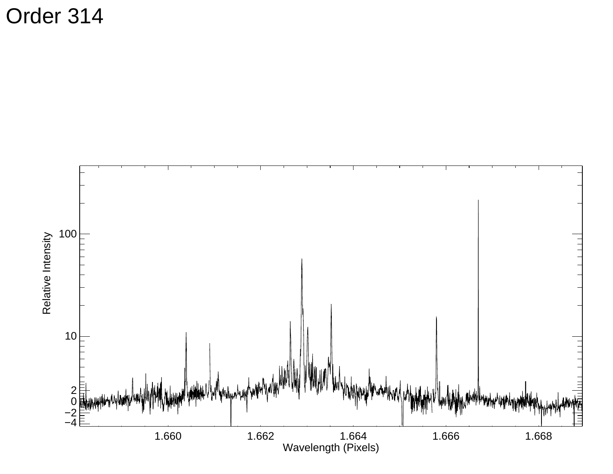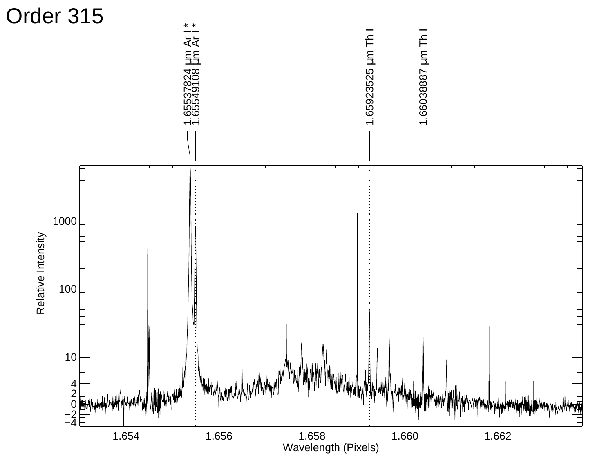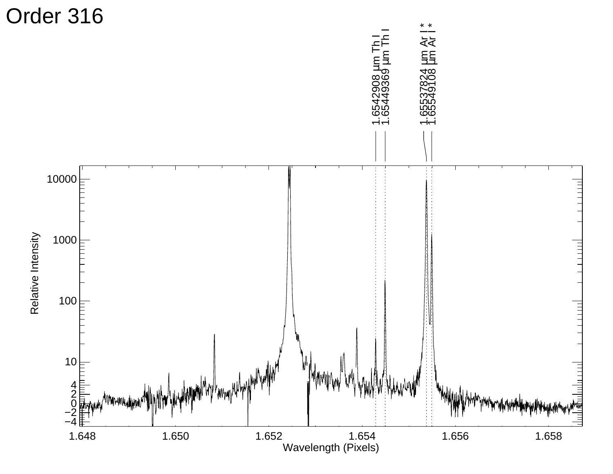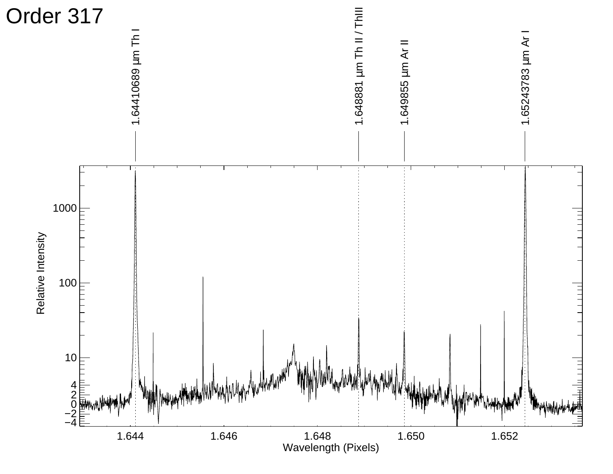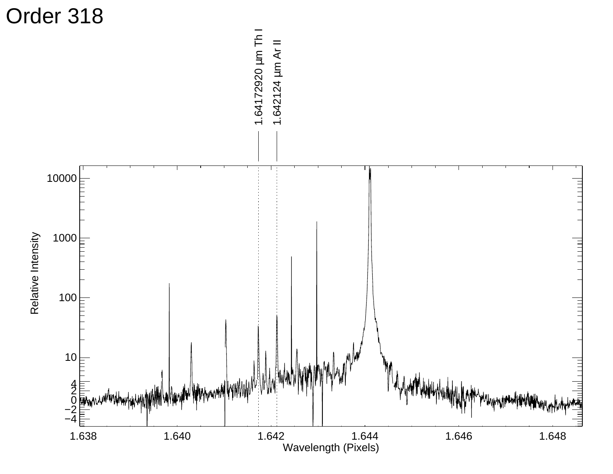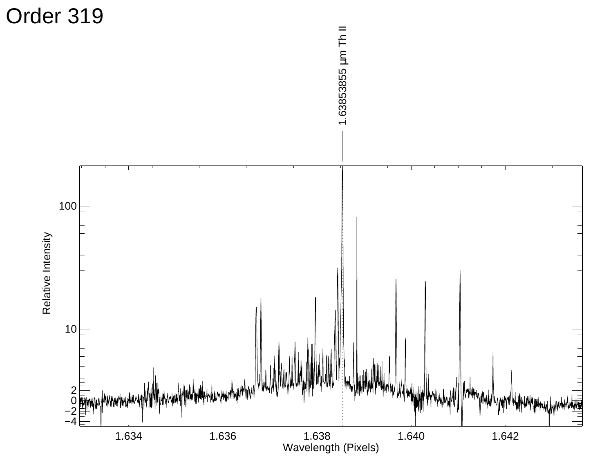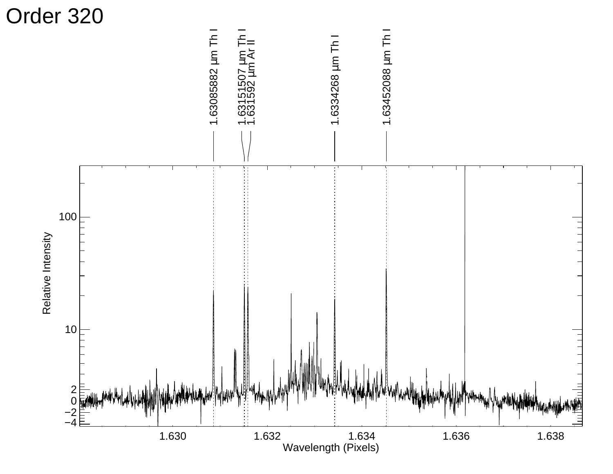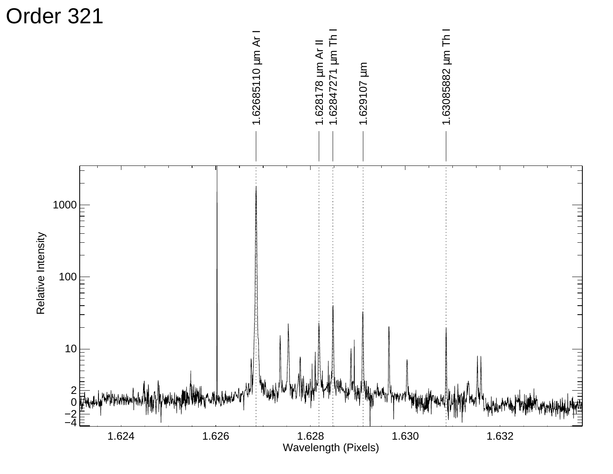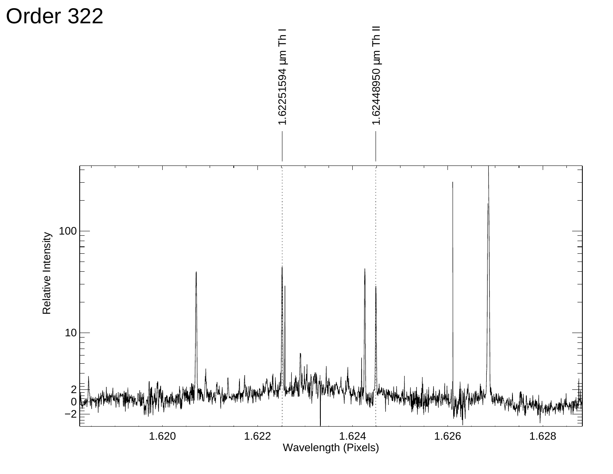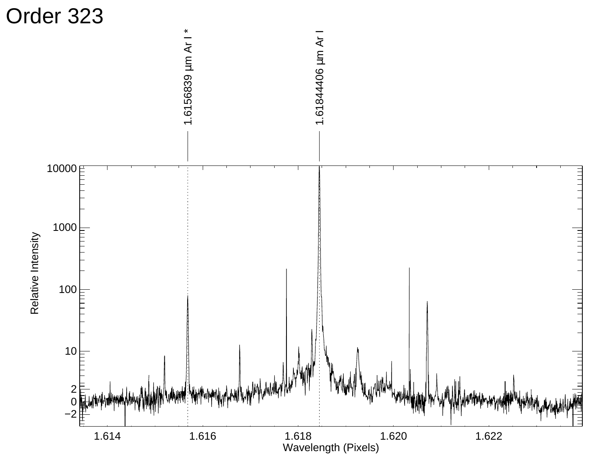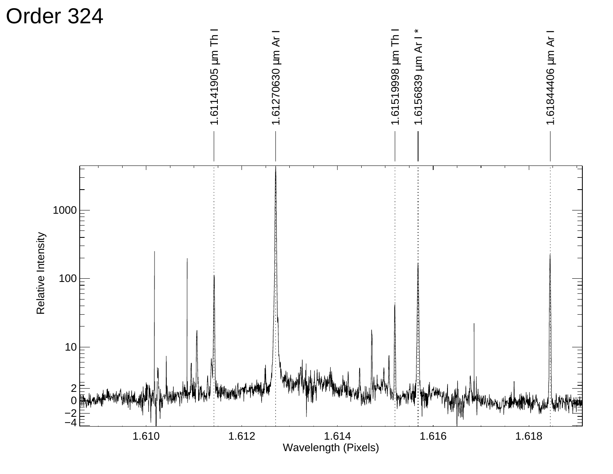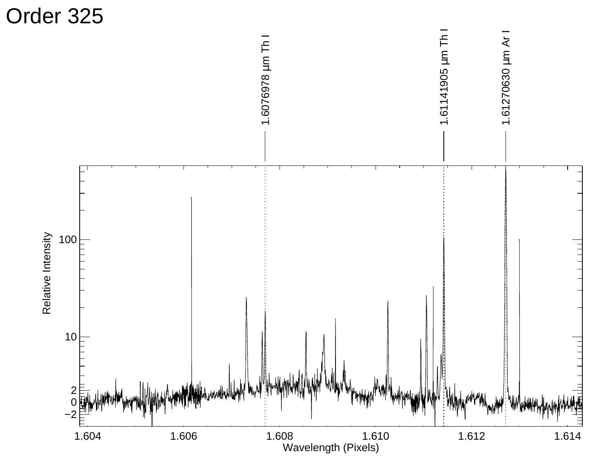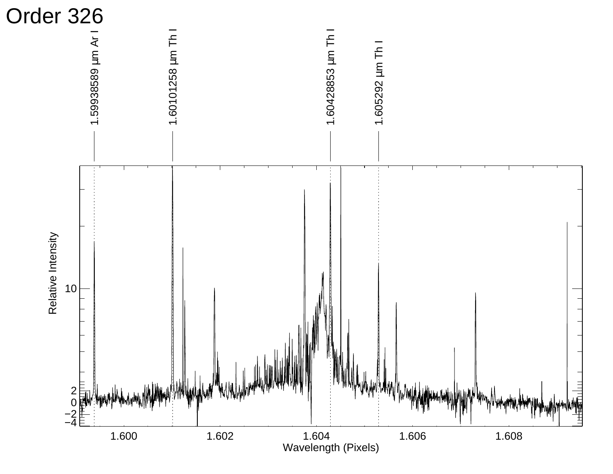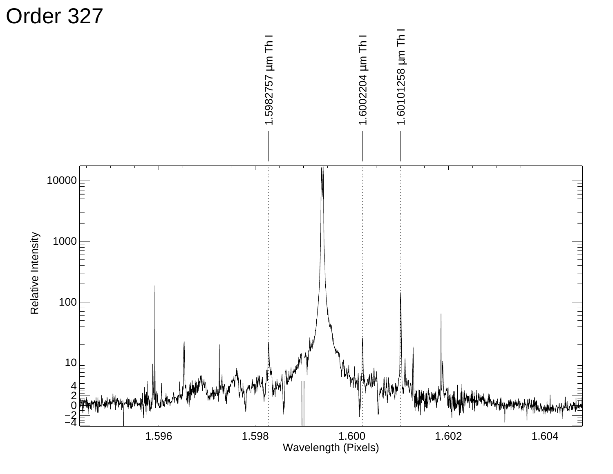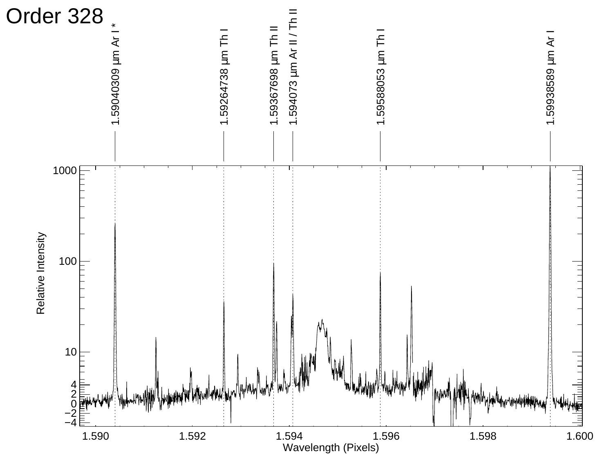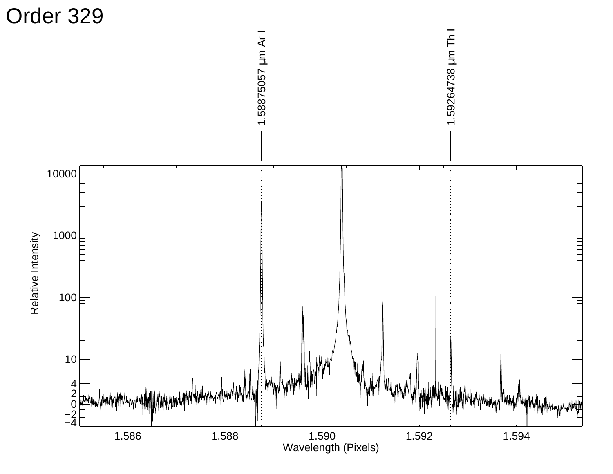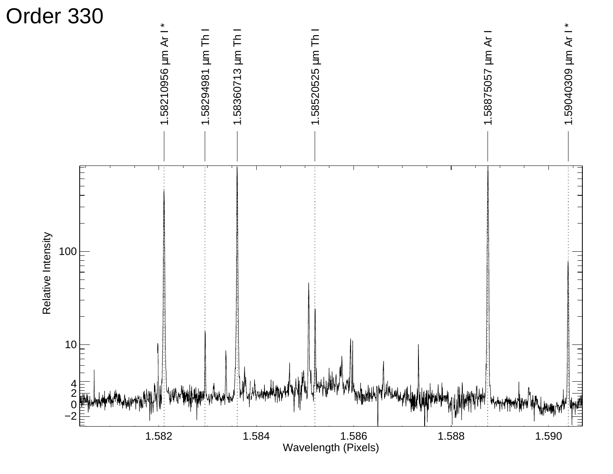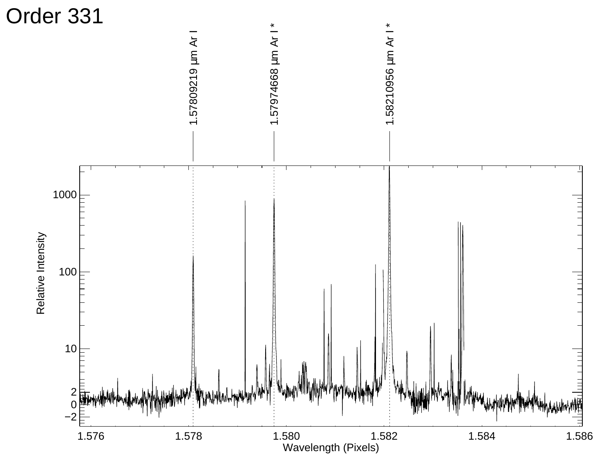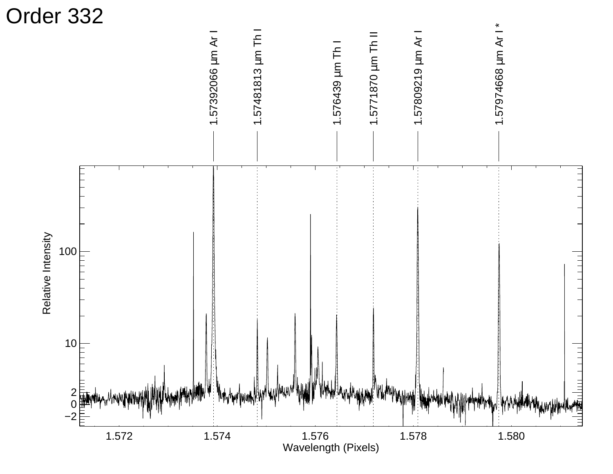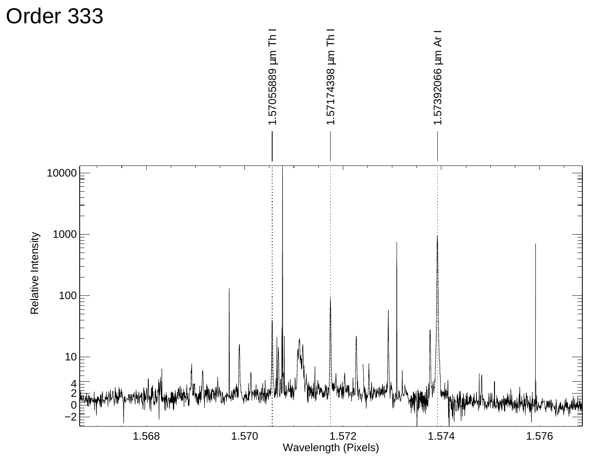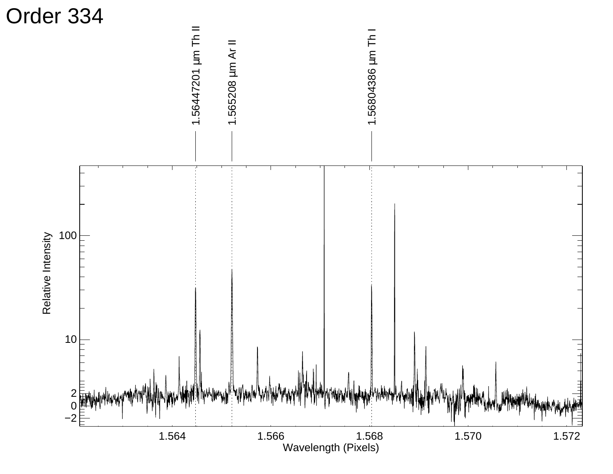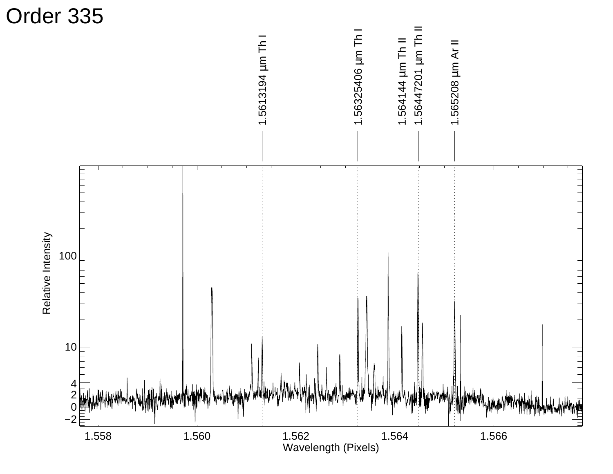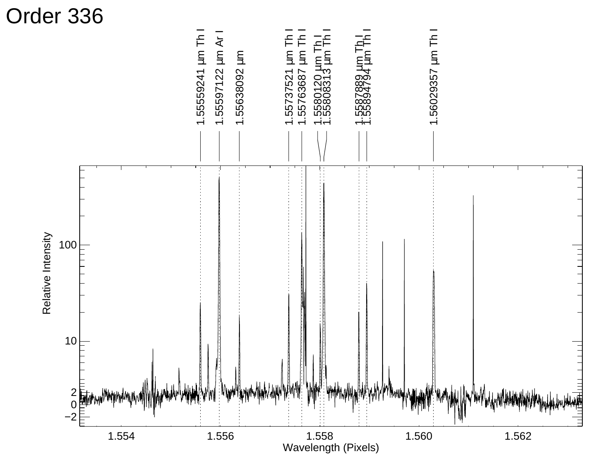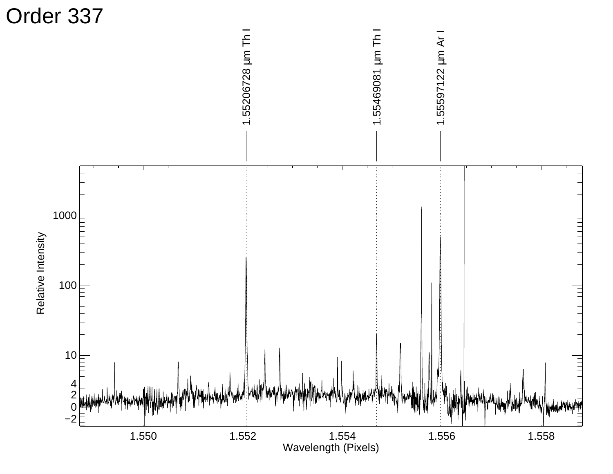